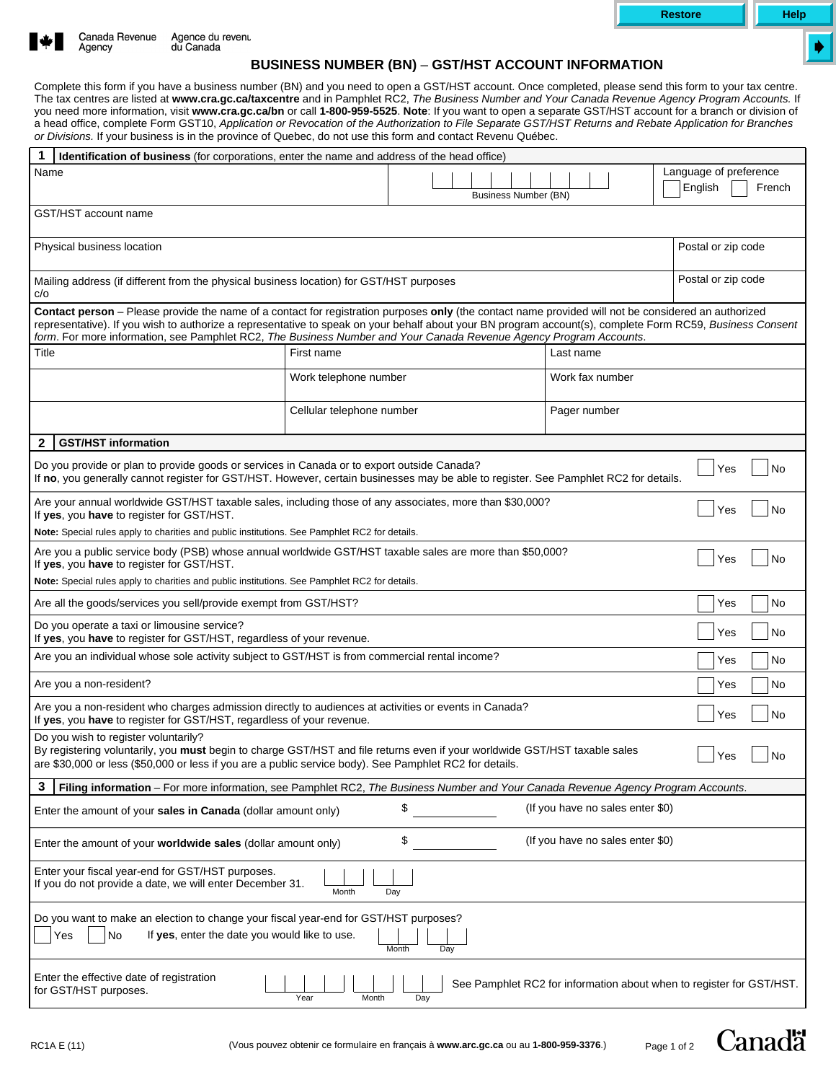

Page 1 of 2

**Canadä** 





## **BUSINESS NUMBER (BN)** – **GST/HST ACCOUNT INFORMATION**

Complete this form if you have a business number (BN) and you need to open a GST/HST account. Once completed, please send this form to your tax centre. The tax centres are listed at **www.cra.gc.ca/taxcentre** and in Pamphlet RC2, *The Business Number and Your Canada Revenue Agency Program Accounts.* If you need more information, visit **www.cra.gc.ca/bn** or call **1-800-959-5525**. **Note**: If you want to open a separate GST/HST account for a branch or division of a head office, complete Form GST10, *Application or Revocation of the Authorization to File Separate GST/HST Returns and Rebate Application for Branches or Divisions.* If your business is in the province of Quebec, do not use this form and contact Revenu Québec.

| 1<br>Identification of business (for corporations, enter the name and address of the head office)                                                                                                                                                                                                                                                                                                                                       |                             |                 |                    |  |
|-----------------------------------------------------------------------------------------------------------------------------------------------------------------------------------------------------------------------------------------------------------------------------------------------------------------------------------------------------------------------------------------------------------------------------------------|-----------------------------|-----------------|--------------------|--|
| Language of preference<br>Name                                                                                                                                                                                                                                                                                                                                                                                                          |                             |                 |                    |  |
|                                                                                                                                                                                                                                                                                                                                                                                                                                         | <b>Business Number (BN)</b> |                 | English<br>French  |  |
| GST/HST account name                                                                                                                                                                                                                                                                                                                                                                                                                    |                             |                 |                    |  |
|                                                                                                                                                                                                                                                                                                                                                                                                                                         |                             |                 |                    |  |
| Physical business location                                                                                                                                                                                                                                                                                                                                                                                                              |                             |                 | Postal or zip code |  |
| Mailing address (if different from the physical business location) for GST/HST purposes<br>c/o                                                                                                                                                                                                                                                                                                                                          |                             |                 | Postal or zip code |  |
| Contact person - Please provide the name of a contact for registration purposes only (the contact name provided will not be considered an authorized<br>representative). If you wish to authorize a representative to speak on your behalf about your BN program account(s), complete Form RC59, Business Consent<br>form. For more information, see Pamphlet RC2, The Business Number and Your Canada Revenue Agency Program Accounts. |                             |                 |                    |  |
| Title                                                                                                                                                                                                                                                                                                                                                                                                                                   | First name<br>Last name     |                 |                    |  |
|                                                                                                                                                                                                                                                                                                                                                                                                                                         | Work telephone number       | Work fax number |                    |  |
|                                                                                                                                                                                                                                                                                                                                                                                                                                         | Cellular telephone number   | Pager number    |                    |  |
| <b>GST/HST information</b><br>2                                                                                                                                                                                                                                                                                                                                                                                                         |                             |                 |                    |  |
| Do you provide or plan to provide goods or services in Canada or to export outside Canada?<br>Yes<br>No<br>If no, you generally cannot register for GST/HST. However, certain businesses may be able to register. See Pamphlet RC2 for details.                                                                                                                                                                                         |                             |                 |                    |  |
| Are your annual worldwide GST/HST taxable sales, including those of any associates, more than \$30,000?<br>No<br>Yes<br>If yes, you have to register for GST/HST.                                                                                                                                                                                                                                                                       |                             |                 |                    |  |
| Note: Special rules apply to charities and public institutions. See Pamphlet RC2 for details.                                                                                                                                                                                                                                                                                                                                           |                             |                 |                    |  |
| Are you a public service body (PSB) whose annual worldwide GST/HST taxable sales are more than \$50,000?<br>No<br>Yes<br>If yes, you have to register for GST/HST.                                                                                                                                                                                                                                                                      |                             |                 |                    |  |
| Note: Special rules apply to charities and public institutions. See Pamphlet RC2 for details.                                                                                                                                                                                                                                                                                                                                           |                             |                 |                    |  |
| Are all the goods/services you sell/provide exempt from GST/HST?<br>Yes                                                                                                                                                                                                                                                                                                                                                                 |                             |                 | No                 |  |
| Do you operate a taxi or limousine service?<br>Yes<br>If yes, you have to register for GST/HST, regardless of your revenue.                                                                                                                                                                                                                                                                                                             |                             |                 | <b>No</b>          |  |
| Are you an individual whose sole activity subject to GST/HST is from commercial rental income?                                                                                                                                                                                                                                                                                                                                          |                             |                 | No<br>Yes          |  |
| Are you a non-resident?                                                                                                                                                                                                                                                                                                                                                                                                                 |                             |                 | No<br>Yes          |  |
| Are you a non-resident who charges admission directly to audiences at activities or events in Canada?<br>Yes<br>If yes, you have to register for GST/HST, regardless of your revenue.                                                                                                                                                                                                                                                   |                             |                 | No                 |  |
| Do you wish to register voluntarily?<br>By registering voluntarily, you must begin to charge GST/HST and file returns even if your worldwide GST/HST taxable sales<br>Yes<br>No<br>are \$30,000 or less (\$50,000 or less if you are a public service body). See Pamphlet RC2 for details.                                                                                                                                              |                             |                 |                    |  |
| 3<br>Filing information - For more information, see Pamphlet RC2, The Business Number and Your Canada Revenue Agency Program Accounts.                                                                                                                                                                                                                                                                                                  |                             |                 |                    |  |
| \$<br>(If you have no sales enter \$0)<br>Enter the amount of your sales in Canada (dollar amount only)                                                                                                                                                                                                                                                                                                                                 |                             |                 |                    |  |
| \$<br>(If you have no sales enter \$0)<br>Enter the amount of your worldwide sales (dollar amount only)                                                                                                                                                                                                                                                                                                                                 |                             |                 |                    |  |
| Enter your fiscal year-end for GST/HST purposes.<br>If you do not provide a date, we will enter December 31.<br>Month<br>Day                                                                                                                                                                                                                                                                                                            |                             |                 |                    |  |
| Do you want to make an election to change your fiscal year-end for GST/HST purposes?<br>No<br>If yes, enter the date you would like to use.<br>Yes<br>Month<br>Day                                                                                                                                                                                                                                                                      |                             |                 |                    |  |
| Enter the effective date of registration<br>See Pamphlet RC2 for information about when to register for GST/HST.<br>for GST/HST purposes.<br>Year<br>Month<br>Day                                                                                                                                                                                                                                                                       |                             |                 |                    |  |